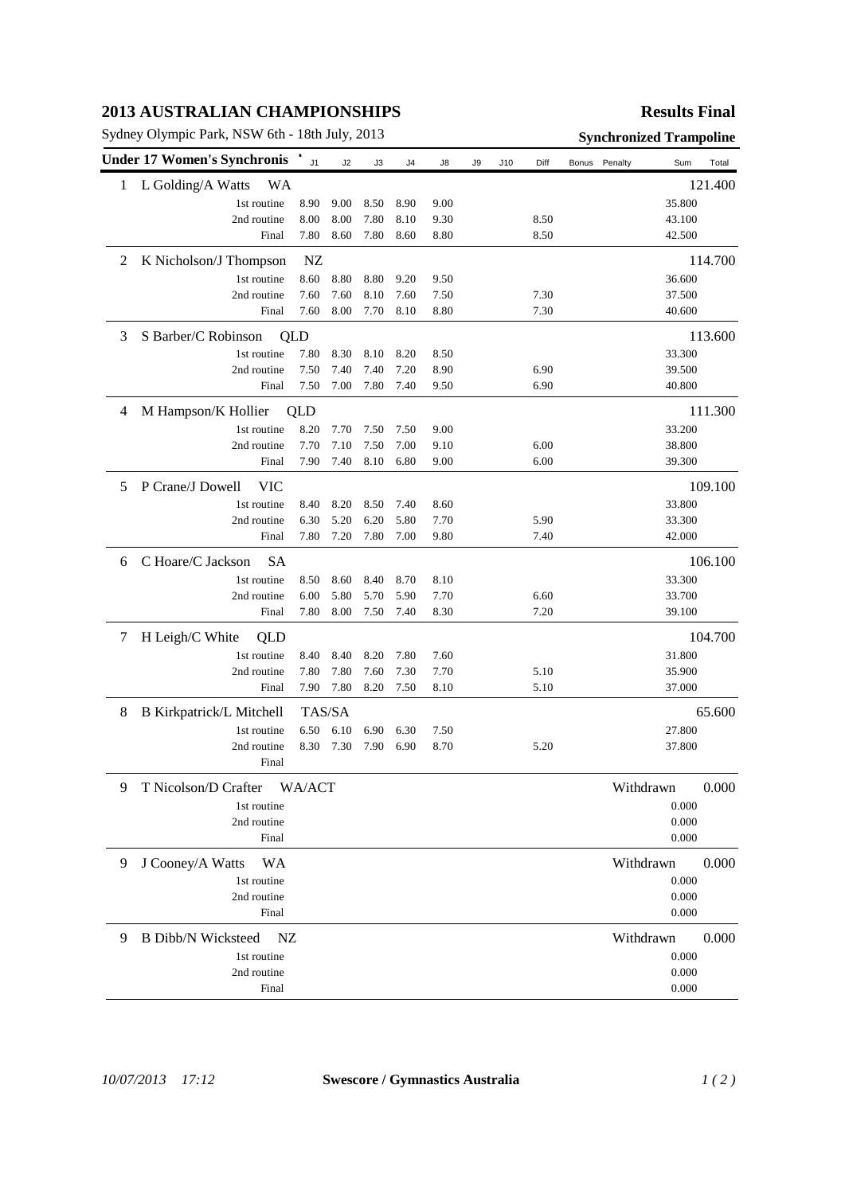## **2013 AUSTRALIAN CHAMPIONSHIPS**

Sydney Olympic Park, NSW 6th - 18th July, 2013 **Synchronized Trampoline**

## **Results Final**

|   | <b>Under 17 Women's Synchronis</b> | J <sub>1</sub> | J2   | J3   | J4   | J8   | J9 | J10 | Diff | Bonus | Penalty   | Sum    | Total   |
|---|------------------------------------|----------------|------|------|------|------|----|-----|------|-------|-----------|--------|---------|
| 1 | L Golding/A Watts<br>WA            |                |      |      |      |      |    |     |      |       |           |        | 121.400 |
|   | 1st routine                        | 8.90           | 9.00 | 8.50 | 8.90 | 9.00 |    |     |      |       |           | 35.800 |         |
|   | 2nd routine                        | 8.00           | 8.00 | 7.80 | 8.10 | 9.30 |    |     | 8.50 |       |           | 43.100 |         |
|   | Final                              | 7.80           | 8.60 | 7.80 | 8.60 | 8.80 |    |     | 8.50 |       |           | 42.500 |         |
| 2 | K Nicholson/J Thompson             | NZ             |      |      |      |      |    |     |      |       |           |        | 114.700 |
|   | 1st routine                        | 8.60           | 8.80 | 8.80 | 9.20 | 9.50 |    |     |      |       |           | 36.600 |         |
|   | 2nd routine                        | 7.60           | 7.60 | 8.10 | 7.60 | 7.50 |    |     | 7.30 |       |           | 37.500 |         |
|   | Final                              | 7.60           | 8.00 | 7.70 | 8.10 | 8.80 |    |     | 7.30 |       |           | 40.600 |         |
| 3 | S Barber/C Robinson                | QLD            |      |      |      |      |    |     |      |       |           |        | 113.600 |
|   | 1st routine                        | 7.80           | 8.30 | 8.10 | 8.20 | 8.50 |    |     |      |       |           | 33.300 |         |
|   | 2nd routine                        | 7.50           | 7.40 | 7.40 | 7.20 | 8.90 |    |     | 6.90 |       |           | 39.500 |         |
|   | Final                              | 7.50           | 7.00 | 7.80 | 7.40 | 9.50 |    |     | 6.90 |       |           | 40.800 |         |
| 4 | M Hampson/K Hollier                | QLD            |      |      |      |      |    |     |      |       |           |        | 111.300 |
|   | 1st routine                        | 8.20           | 7.70 | 7.50 | 7.50 | 9.00 |    |     |      |       |           | 33.200 |         |
|   | 2nd routine                        | 7.70           | 7.10 | 7.50 | 7.00 | 9.10 |    |     | 6.00 |       |           | 38.800 |         |
|   | Final                              | 7.90           | 7.40 | 8.10 | 6.80 | 9.00 |    |     | 6.00 |       |           | 39.300 |         |
| 5 | P Crane/J Dowell<br><b>VIC</b>     |                |      |      |      |      |    |     |      |       |           |        | 109.100 |
|   | 1st routine                        | 8.40           | 8.20 | 8.50 | 7.40 | 8.60 |    |     |      |       |           | 33.800 |         |
|   | 2nd routine                        | 6.30           | 5.20 | 6.20 | 5.80 | 7.70 |    |     | 5.90 |       |           | 33.300 |         |
|   | Final                              | 7.80           | 7.20 | 7.80 | 7.00 | 9.80 |    |     | 7.40 |       |           | 42.000 |         |
| 6 | C Hoare/C Jackson<br><b>SA</b>     |                |      |      |      |      |    |     |      |       |           |        | 106.100 |
|   | 1st routine                        | 8.50           | 8.60 | 8.40 | 8.70 | 8.10 |    |     |      |       |           | 33.300 |         |
|   | 2nd routine                        | 6.00           | 5.80 | 5.70 | 5.90 | 7.70 |    |     | 6.60 |       |           | 33.700 |         |
|   | Final                              | 7.80           | 8.00 | 7.50 | 7.40 | 8.30 |    |     | 7.20 |       |           | 39.100 |         |
| 7 | H Leigh/C White<br>QLD             |                |      |      |      |      |    |     |      |       |           |        | 104.700 |
|   | 1st routine                        | 8.40           | 8.40 | 8.20 | 7.80 | 7.60 |    |     |      |       |           | 31.800 |         |
|   | 2nd routine                        | 7.80           | 7.80 | 7.60 | 7.30 | 7.70 |    |     | 5.10 |       |           | 35.900 |         |
|   | Final                              | 7.90           | 7.80 | 8.20 | 7.50 | 8.10 |    |     | 5.10 |       |           | 37.000 |         |
| 8 | <b>B</b> Kirkpatrick/L Mitchell    | TAS/SA         |      |      |      |      |    |     |      |       |           | 65.600 |         |
|   | 1st routine                        | 6.50           | 6.10 | 6.90 | 6.30 | 7.50 |    |     |      |       |           | 27.800 |         |
|   | 2nd routine                        | 8.30           | 7.30 | 7.90 | 6.90 | 8.70 |    |     | 5.20 |       |           | 37.800 |         |
|   | Final                              |                |      |      |      |      |    |     |      |       |           |        |         |
| 9 | T Nicolson/D Crafter               | WA/ACT         |      |      |      |      |    |     |      |       | Withdrawn |        | 0.000   |
|   | 1st routine                        |                |      |      |      |      |    |     |      |       |           | 0.000  |         |
|   | 2nd routine                        |                |      |      |      |      |    |     |      |       |           | 0.000  |         |
|   | Final                              |                |      |      |      |      |    |     |      |       |           | 0.000  |         |
| 9 | J Cooney/A Watts<br>WA             |                |      |      |      |      |    |     |      |       | Withdrawn |        | 0.000   |
|   | 1st routine                        |                |      |      |      |      |    |     |      |       |           | 0.000  |         |
|   | 2nd routine                        |                |      |      |      |      |    |     |      |       |           | 0.000  |         |
|   | Final                              |                |      |      |      |      |    |     |      |       |           | 0.000  |         |
| 9 | <b>B</b> Dibb/N Wicksteed<br>NZ    |                |      |      |      |      |    |     |      |       | Withdrawn |        | 0.000   |
|   | 1st routine                        |                |      |      |      |      |    |     |      |       |           | 0.000  |         |
|   | 2nd routine                        |                |      |      |      |      |    |     |      |       |           | 0.000  |         |
|   | Final                              |                |      |      |      |      |    |     |      |       |           | 0.000  |         |